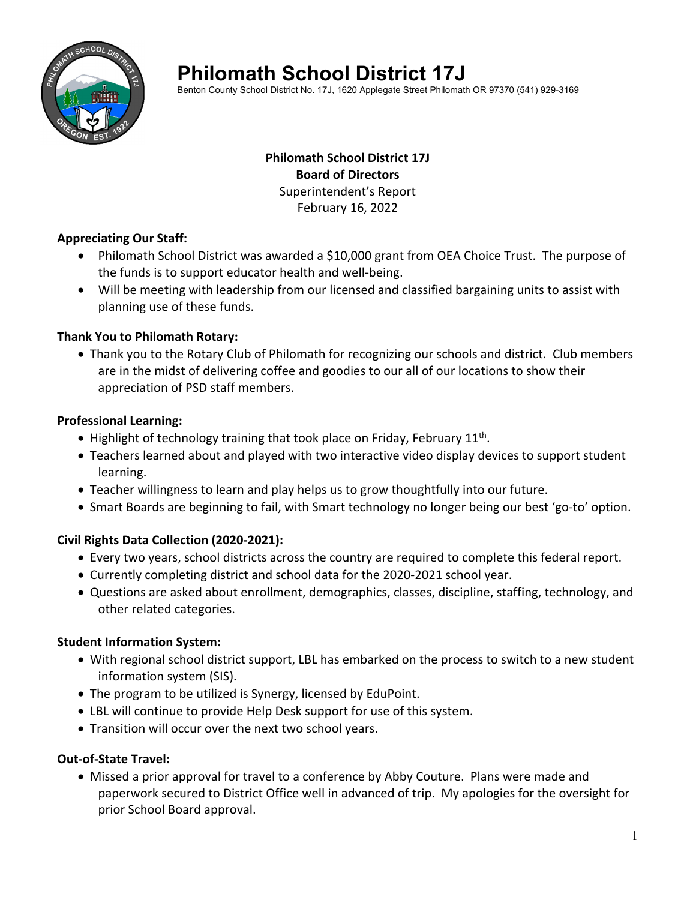

# **Philomath School District 17J**

Benton County School District No. 17J, 1620 Applegate Street Philomath OR 97370 (541) 929-3169

# **Philomath School District 17J Board of Directors** Superintendent's Report February 16, 2022

#### **Appreciating Our Staff:**

- Philomath School District was awarded a \$10,000 grant from OEA Choice Trust. The purpose of the funds is to support educator health and well‐being.
- Will be meeting with leadership from our licensed and classified bargaining units to assist with planning use of these funds.

## **Thank You to Philomath Rotary:**

• Thank you to the Rotary Club of Philomath for recognizing our schools and district. Club members are in the midst of delivering coffee and goodies to our all of our locations to show their appreciation of PSD staff members.

## **Professional Learning:**

- $\bullet$  Highlight of technology training that took place on Friday, February 11<sup>th</sup>.
- Teachers learned about and played with two interactive video display devices to support student learning.
- Teacher willingness to learn and play helps us to grow thoughtfully into our future.
- Smart Boards are beginning to fail, with Smart technology no longer being our best 'go-to' option.

# **Civil Rights Data Collection (2020‐2021):**

- Every two years, school districts across the country are required to complete this federal report.
- Currently completing district and school data for the 2020‐2021 school year.
- Questions are asked about enrollment, demographics, classes, discipline, staffing, technology, and other related categories.

#### **Student Information System:**

- With regional school district support, LBL has embarked on the process to switch to a new student information system (SIS).
- The program to be utilized is Synergy, licensed by EduPoint.
- LBL will continue to provide Help Desk support for use of this system.
- Transition will occur over the next two school years.

# **Out‐of‐State Travel:**

 Missed a prior approval for travel to a conference by Abby Couture. Plans were made and paperwork secured to District Office well in advanced of trip. My apologies for the oversight for prior School Board approval.